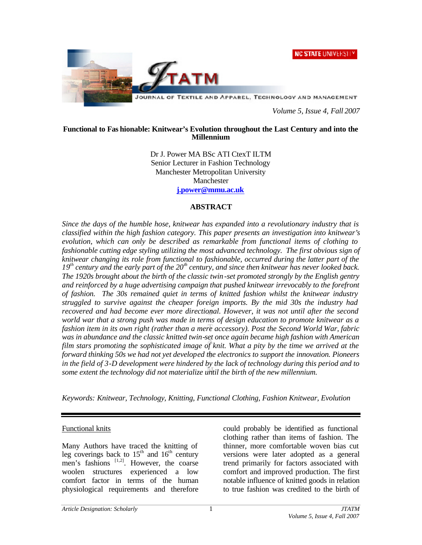**NC STATE UNIVERSITY** 



JOURNAL OF TEXTILE AND APPAREL, TECHNOLOGY AND MANAGEMENT

*Volume 5, Issue 4, Fall 2007*

#### **Functional to Fas hionable: Knitwear's Evolution throughout the Last Century and into the Millennium**

Dr J. Power MA BSc ATI CtexT ILTM Senior Lecturer in Fashion Technology Manchester Metropolitan University Manchester **j.power@mmu.ac.uk**

### **ABSTRACT**

*Since the days of the humble hose, knitwear has expanded into a revolutionary industry that is classified within the high fashion category. This paper presents an investigation into knitwear's evolution, which can only be described as remarkable from functional items of clothing to fashionable cutting edge styling utilizing the most advanced technology. The first obvious sign of knitwear changing its role from functional to fashionable, occurred during the latter part of the 19th century and the early part of the 20th century, and since then knitwear has never looked back. The 1920s brought about the birth of the classic twin -set promoted strongly by the English gentry and reinforced by a huge advertising campaign that pushed knitwear irrevocably to the forefront of fashion. The 30s remained quiet in terms of knitted fashion whilst the knitwear industry struggled to survive against the cheaper foreign imports. By the mid 30s the industry had recovered and had become ever more directional. However, it was not until after the second world war that a strong push was made in terms of design education to promote knitwear as a fashion item in its own right (rather than a mere accessory). Post the Second World War, fabric was in abundance and the classic knitted twin-set once again became high fashion with American film stars promoting the sophisticated image of knit. What a pity by the time we arrived at the forward thinking 50s we had not yet developed the electronics to support the innovation. Pioneers in the field of 3-D development were hindered by the lack of technology during this period and to some extent the technology did not materialize until the birth of the new millennium.*

*Keywords: Knitwear, Technology, Knitting, Functional Clothing, Fashion Knitwear, Evolution*

### Functional knits

Many Authors have traced the knitting of leg coverings back to  $15<sup>th</sup>$  and  $16<sup>th</sup>$  century men's fashions  $[1,2]$ . However, the coarse woolen structures experienced a low comfort factor in terms of the human physiological requirements and therefore could probably be identified as functional clothing rather than items of fashion. The thinner, more comfortable woven bias cut versions were later adopted as a general trend primarily for factors associated with comfort and improved production. The first notable influence of knitted goods in relation to true fashion was credited to the birth of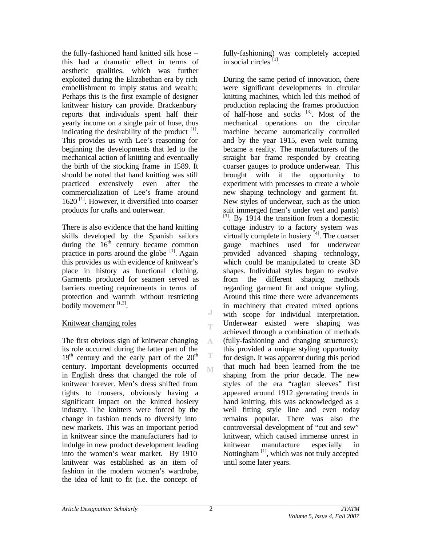the fully-fashioned hand knitted silk hose – this had a dramatic effect in terms of aesthetic qualities, which was further exploited during the Elizabethan era by rich embellishment to imply status and wealth; Perhaps this is the first example of designer knitwear history can provide. Brackenbury reports that individuals spent half their yearly income on a single pair of hose, thus indicating the desirability of the product  $[1]$ . This provides us with Lee's reasoning for beginning the developments that led to the mechanical action of knitting and eventually the birth of the stocking frame in 1589. It should be noted that hand knitting was still practiced extensively even after the commercialization of Lee's frame around  $1620$ <sup>[1]</sup>. However, it diversified into coarser products for crafts and outerwear.

There is also evidence that the hand knitting skills developed by the Spanish sailors during the  $16<sup>th</sup>$  century became common practice in ports around the globe  $[1]$ . Again this provides us with evidence of knitwear's place in history as functional clothing. Garments produced for seamen served as barriers meeting requirements in terms of protection and warmth without restricting bodily movement  $^{[1,3]}$ .

### Knitwear changing roles

The first obvious sign of knitwear changing its role occurred during the latter part of the  $19<sup>th</sup>$  century and the early part of the  $20<sup>th</sup>$ century. Important developments occurred in English dress that changed the role of knitwear forever. Men's dress shifted from tights to trousers, obviously having a significant impact on the knitted hosiery industry. The knitters were forced by the change in fashion trends to diversify into new markets. This was an important period in knitwear since the manufacturers had to indulge in new product development leading into the women's wear market. By 1910 knitwear was established as an item of fashion in the modern women's wardrobe, the idea of knit to fit (i.e. the concept of

fully-fashioning) was completely accepted in social circles<sup>[1]</sup>.

During the same period of innovation, there were significant developments in circular knitting machines, which led this method of production replacing the frames production of half-hose and socks  $^{[3]}$ . Most of the mechanical operations on the circular machine became automatically controlled and by the year 1915, even welt turning became a reality. The manufacturers of the straight bar frame responded by creating coarser gauges to produce underwear. This brought with it the opportunity to experiment with processes to create a whole new shaping technology and garment fit. New styles of underwear, such as the union suit immerged (men's under vest and pants)  $[3]$ . By 1914 the transition from a domestic cottage industry to a factory system was virtually complete in hosiery  $[4]$ . The coarser gauge machines used for underwear provided advanced shaping technology, which could be manipulated to create 3D shapes. Individual styles began to evolve from the different shaping methods regarding garment fit and unique styling. Around this time there were advancements in machinery that created mixed options with scope for individual interpretation. Underwear existed were shaping was achieved through a combination of methods (fully-fashioning and changing structures); this provided a unique styling opportunity for design. It was apparent during this period that much had been learned from the toe shaping from the prior decade. The new styles of the era "raglan sleeves" first appeared around 1912 generating trends in hand knitting, this was acknowledged as a well fitting style line and even today remains popular. There was also the controversial development of "cut and sew" knitwear, which caused immense unrest in knitwear manufacture especially in Nottingham  $\left[1\right]$ , which was not truly accepted until some later years.

J T

A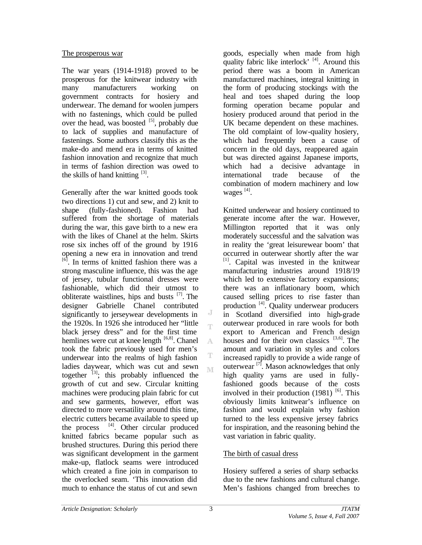#### The prosperous war

The war years (1914-1918) proved to be prosperous for the knitwear industry with many manufacturers working on government contracts for hosiery and underwear. The demand for woolen jumpers with no fastenings, which could be pulled over the head, was boosted  $[5]$ , probably due to lack of supplies and manufacture of fastenings. Some authors classify this as the make-do and mend era in terms of knitted fashion innovation and recognize that much in terms of fashion direction was owed to the skills of hand knitting  $[3]$ .

Generally after the war knitted goods took two directions 1) cut and sew, and 2) knit to shape (fully-fashioned). Fashion had suffered from the shortage of materials during the war, this gave birth to a new era with the likes of Chanel at the helm. Skirts rose six inches off of the ground by 1916 opening a new era in innovation and trend <sup>[6]</sup>. In terms of knitted fashion there was a strong masculine influence, this was the age of jersey, tubular functional dresses were fashionable, which did their utmost to obliterate waistlines, hips and busts  $[7]$ . The designer Gabrielle Chanel contributed significantly to jerseywear developments in the 1920s. In 1926 she introduced her "little black jersey dress" and for the first time hemlines were cut at knee length  $[6,8]$ . Chanel took the fabric previously used for men's underwear into the realms of high fashion ladies daywear, which was cut and sewn together  $^{[3]}$ ; this probably influenced the growth of cut and sew. Circular knitting machines were producing plain fabric for cut and sew garments, however, effort was directed to more versatility around this time, electric cutters became available to speed up the process  $[4]$ . Other circular produced knitted fabrics became popular such as brushed structures. During this period there was significant development in the garment make-up, flatlock seams were introduced which created a fine join in comparison to the overlocked seam. 'This innovation did much to enhance the status of cut and sewn

goods, especially when made from high quality fabric like interlock' [4]. Around this period there was a boom in American manufactured machines, integral knitting in the form of producing stockings with the heal and toes shaped during the loop forming operation became popular and hosiery produced around that period in the UK became dependent on these machines. The old complaint of low-quality hosiery, which had frequently been a cause of concern in the old days, reappeared again but was directed against Japanese imports, which had a decisive advantage in international trade because of the combination of modern machinery and low wages<sup>[4]</sup>.

Knitted underwear and hosiery continued to generate income after the war. However, Millington reported that it was only moderately successful and the salvation was in reality the 'great leisurewear boom' that occurred in outerwear shortly after the war [1]. Capital was invested in the knitwear manufacturing industries around 1918/19 which led to extensive factory expansions; there was an inflationary boom, which caused selling prices to rise faster than production <sup>[4]</sup>. Quality underwear producers in Scotland diversified into high-grade outerwear produced in rare wools for both export to American and French design houses and for their own classics  $[3,6]$ . The amount and variation in styles and colors increased rapidly to provide a wide range of outerwear<sup>[7]</sup>. Mason acknowledges that only high quality yarns are used in fullyfashioned goods because of the costs involved in their production  $(1981)$ <sup>[6]</sup>. This obviously limits knitwear's influence on fashion and would explain why fashion turned to the less expensive jersey fabrics for inspiration, and the reasoning behind the vast variation in fabric quality.

## The birth of casual dress

Hosiery suffered a series of sharp setbacks due to the new fashions and cultural change. Men's fashions changed from breeches to

J Ť.

A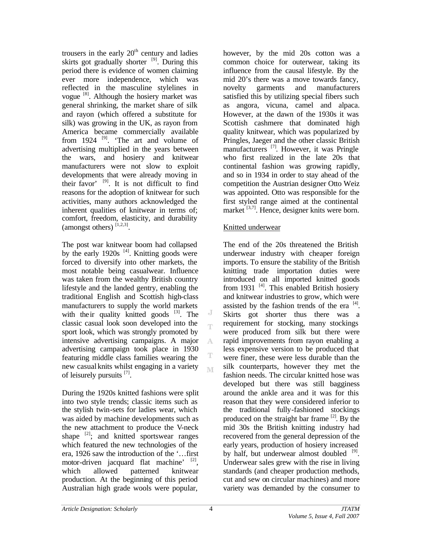trousers in the early  $20<sup>th</sup>$  century and ladies skirts got gradually shorter  $[9]$ . During this period there is evidence of women claiming ever more independence, which was reflected in the masculine stylelines in vogue <sup>[8]</sup>. Although the hosiery market was general shrinking, the market share of silk and rayon (which offered a substitute for silk) was growing in the UK, as rayon from America became commercially available from  $1924$  <sup>[9]</sup>. 'The art and volume of advertising multiplied in the years between the wars, and hosiery and knitwear manufacturers were not slow to exploit developments that were already moving in their favor'  $[9]$ . It is not difficult to find reasons for the adoption of knitwear for such activities, many authors acknowledged the inherent qualities of knitwear in terms of; comfort, freedom, elasticity, and durability (amongst others)  $[1,2,3]$ .

The post war knitwear boom had collapsed by the early 1920s  $[4]$ . Knitting goods were forced to diversify into other markets, the most notable being casualwear. Influence was taken from the wealthy British country lifestyle and the landed gentry, enabling the traditional English and Scottish high-class manufacturers to supply the world markets with their quality knitted goods  $[3]$ . The classic casual look soon developed into the sport look, which was strongly promoted by intensive advertising campaigns. A major advertising campaign took place in 1930 featuring middle class families wearing the new casual knits whilst engaging in a variety of leisurely pursuits [7].

During the 1920s knitted fashions were split into two style trends; classic items such as the stylish twin-sets for ladies wear, which was aided by machine developments such as the new attachment to produce the V-neck shape  $^{[2]}$ ; and knitted sportswear ranges which featured the new technologies of the era, 1926 saw the introduction of the '…first motor-driven jacquard flat machine' <sup>[2]</sup>, which allowed patterned knitwear production. At the beginning of this period Australian high grade wools were popular,

however, by the mid 20s cotton was a common choice for outerwear, taking its influence from the causal lifestyle. By the mid 20's there was a move towards fancy, novelty garments and manufacturers satisfied this by utilizing special fibers such as angora, vicuna, camel and alpaca. However, at the dawn of the 1930s it was Scottish cashmere that dominated high quality knitwear, which was popularized by Pringles, Jaeger and the other classic British manufacturers [7]. However, it was Pringle who first realized in the late 20s that continental fashion was growing rapidly, and so in 1934 in order to stay ahead of the competition the Austrian designer Otto Weiz was appointed. Otto was responsible for the first styled range aimed at the continental market  $^{[3,7]}$ . Hence, designer knits were born.

### Knitted underwear

The end of the 20s threatened the British underwear industry with cheaper foreign imports. To ensure the stability of the British knitting trade importation duties were introduced on all imported knitted goods from 1931  $[4]$ . This enabled British hosiery and knitwear industries to grow, which were assisted by the fashion trends of the era  $^{[4]}$ . Skirts got shorter thus there was a requirement for stocking, many stockings were produced from silk but there were rapid improvements from rayon enabling a less expensive version to be produced that were finer, these were less durable than the silk counterparts, however they met the fashion needs. The circular knitted hose was developed but there was still bagginess around the ankle area and it was for this reason that they were considered inferior to the traditional fully-fashioned stockings produced on the straight bar frame  $^{[2]}$ . By the mid 30s the British knitting industry had recovered from the general depression of the early years, production of hosiery increased by half, but underwear almost doubled <sup>[9]</sup>. Underwear sales grew with the rise in living standards (and cheaper production methods, cut and sew on circular machines) and more variety was demanded by the consumer to

J Ť.

A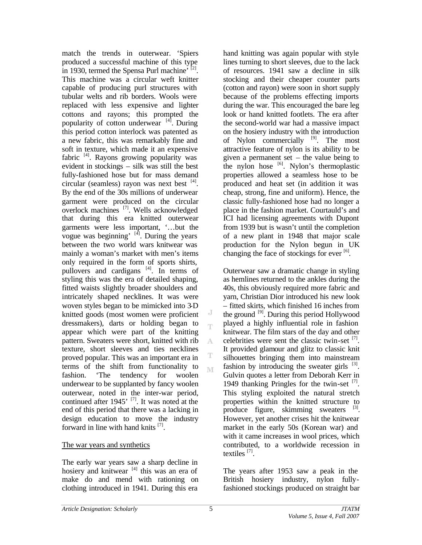match the trends in outerwear. 'Spiers produced a successful machine of this type in 1930, termed the Spensa Purl machine<sup>,  $[2]$ </sup>. This machine was a circular weft knitter capable of producing purl structures with tubular welts and rib borders. Wools were replaced with less expensive and lighter cottons and rayons; this prompted the popularity of cotton underwear  $[4]$ . During this period cotton interlock was patented as a new fabric, this was remarkably fine and soft in texture, which made it an expensive fabric  $[4]$ . Rayons growing popularity was evident in stockings – silk was still the best fully-fashioned hose but for mass demand circular (seamless) rayon was next best  $[4]$ . By the end of the 30s millions of underwear garment were produced on the circular overlock machines [7]. Wells acknowledged that during this era knitted outerwear garments were less important, '…but the vogue was beginning'  $[4]$ . During the years between the two world wars knitwear was mainly a woman's market with men's items only required in the form of sports shirts, pullovers and cardigans <sup>[4]</sup>. In terms of styling this was the era of detailed shaping, fitted waists slightly broader shoulders and intricately shaped necklines. It was were woven styles began to be mimicked into 3-D knitted goods (most women were proficient dressmakers), darts or holding began to appear which were part of the knitting pattern. Sweaters were short, knitted with rib texture, short sleeves and ties necklines proved popular. This was an important era in terms of the shift from functionality to fashion. 'The tendency for woolen underwear to be supplanted by fancy woolen outerwear, noted in the inter-war period, continued after 1945' [7]. It was noted at the end of this period that there was a lacking in design education to move the industry forward in line with hand knits<sup>[7]</sup>.

### The war years and synthetics

The early war years saw a sharp decline in hosiery and knitwear  $[4]$  this was an era of make do and mend with rationing on clothing introduced in 1941. During this era

hand knitting was again popular with style lines turning to short sleeves, due to the lack of resources. 1941 saw a decline in silk stocking and their cheaper counter parts (cotton and rayon) were soon in short supply because of the problems effecting imports during the war. This encouraged the bare leg look or hand knitted footlets. The era after the second-world war had a massive impact on the hosiery industry with the introduction of Nylon commercially <sup>[9]</sup>. The most attractive feature of nylon is its ability to be given a permanent set – the value being to the nylon hose  $[6]$ . Nylon's thermoplastic properties allowed a seamless hose to be produced and heat set (in addition it was cheap, strong, fine and uniform). Hence, the classic fully-fashioned hose had no longer a place in the fashion market. Courtauld's and ICI had licensing agreements with Dupont from 1939 but is wasn't until the completion of a new plant in 1948 that major scale production for the Nylon begun in UK changing the face of stockings for ever  $\left[6\right]$ .

Outerwear saw a dramatic change in styling as hemlines returned to the ankles during the 40s, this obviously required more fabric and yarn, Christian Dior introduced his new look – fitted skirts, which finished 16 inches from the ground  $[9]$ . During this period Hollywood played a highly influential role in fashion knitwear. The film stars of the day and other celebrities were sent the classic twin-set  $^{[7]}$ . It provided glamour and glitz to classic knit silhouettes bringing them into mainstream fashion by introducing the sweater girls  $[3]$ . Gulvin quotes a letter from Deborah Kerr in 1949 thanking Pringles for the twin-set [7]. This styling exploited the natural stretch properties within the knitted structure to produce figure, skimming sweaters  $^{[3]}$ . However, yet another crises hit the knitwear market in the early 50s (Korean war) and with it came increases in wool prices, which contributed, to a worldwide recession in textiles<sup>[7]</sup>.

The years after 1953 saw a peak in the British hosiery industry, nylon fullyfashioned stockings produced on straight bar

J Ť

A

M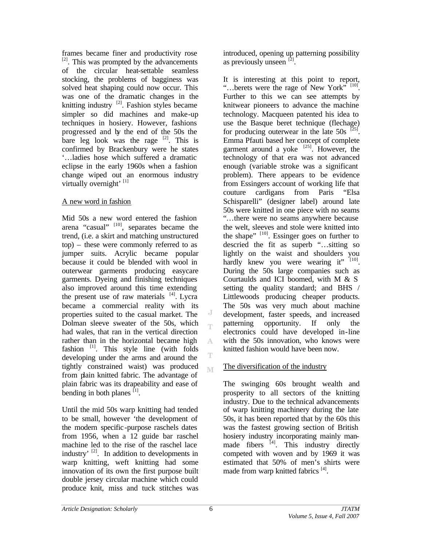frames became finer and productivity rose  $^{[2]}$ . This was prompted by the advancements of the circular heat-settable seamless stocking, the problems of bagginess was solved heat shaping could now occur. This was one of the dramatic changes in the knitting industry <sup>[2]</sup>. Fashion styles became simpler so did machines and make-up techniques in hosiery. However, fashions progressed and by the end of the 50s the bare leg look was the rage  $[2]$ . This is confirmed by Brackenbury were he states '…ladies hose which suffered a dramatic eclipse in the early 1960s when a fashion change wiped out an enormous industry virtually overnight' [1]

## A new word in fashion

Mid 50s a new word entered the fashion arena "casual" [10], separates became the trend, (i.e. a skirt and matching unstructured top) – these were commonly referred to as jumper suits. Acrylic became popular because it could be blended with wool in outerwear garments producing easycare garments. Dyeing and finishing techniques also improved around this time extending the present use of raw materials  $[4]$ . Lycra became a commercial reality with its properties suited to the casual market. The Dolman sleeve sweater of the 50s, which had wales, that ran in the vertical direction rather than in the horizontal became high fashion  $[1]$ . This style line (with folds developing under the arms and around the tightly constrained waist) was produced from plain knitted fabric. The advantage of plain fabric was its drapeability and ease of bending in both planes  $[1]$ .

Until the mid 50s warp knitting had tended to be small, however 'the development of the modern specific-purpose raschels dates from 1956, when a 12 guide bar raschel machine led to the rise of the raschel lace industry'  $^{[2]}$ . In addition to developments in warp knitting, weft knitting had some innovation of its own the first purpose built double jersey circular machine which could produce knit, miss and tuck stitches was

introduced, opening up patterning possibility as previously unseen  $\left[2\right]$ .

It is interesting at this point to report, "...berets were the rage of New York" [10]. Further to this we can see attempts by knitwear pioneers to advance the machine technology. Macqueen patented his idea to use the Basque beret technique (flechage) for producing outerwear in the late  $50s$ <sup>[25]</sup>. Emma Pfauti based her concept of complete garment around a yoke  $^{[25]}$ . However, the technology of that era was not advanced enough (variable stroke was a significant problem). There appears to be evidence from Essingers account of working life that couture cardigans from Paris "Elsa Schisparelli" (designer label) around late 50s were knitted in one piece with no seams "…there were no seams anywhere because the welt, sleeves and stole were knitted into the shape"  $^{[10]}$ . Essinger goes on further to descried the fit as superb "…sitting so lightly on the waist and shoulders you hardly knew you were wearing it" [10]. During the 50s large companies such as Courtaulds and ICI boomed, with M & S setting the quality standard; and BHS / Littlewoods producing cheaper products. The 50s was very much about machine development, faster speeds, and increased patterning opportunity. If only the electronics could have developed in-line with the 50s innovation, who knows were knitted fashion would have been now.

### The diversification of the industry

The swinging 60s brought wealth and prosperity to all sectors of the knitting industry. Due to the technical advancements of warp knitting machinery during the late 50s, it has been reported that by the 60s this was the fastest growing section of British hosiery industry incorporating mainly manmade fibers  $^{[4]}$ . This industry directly competed with woven and by 1969 it was estimated that 50% of men's shirts were made from warp knitted fabrics<sup>[4]</sup>.

J T

A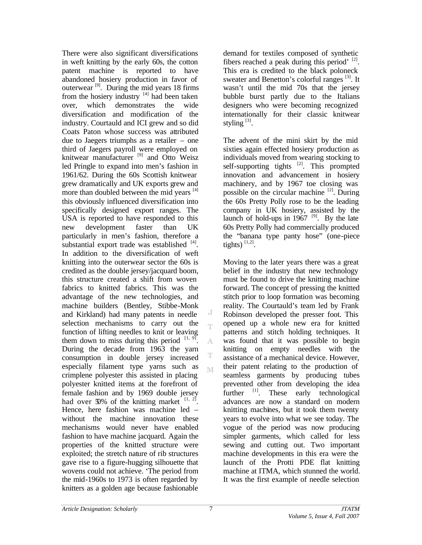There were also significant diversifications in weft knitting by the early 60s, the cotton patent machine is reported to have abandoned hosiery production in favor of outerwear  $[9]$ . During the mid years 18 firms from the hosiery industry  $[4]$  had been taken over, which demonstrates the wide diversification and modification of the industry. Courtauld and ICI grew and so did Coats Paton whose success was attributed due to Jaegers triumphs as a retailer – one third of Jaegers payroll were employed on knitwear manufacturer [9] and Otto Weisz led Pringle to expand into men's fashion in 1961/62. During the 60s Scottish knitwear grew dramatically and UK exports grew and more than doubled between the mid years [4] this obviously influenced diversification into specifically designed export ranges. The USA is reported to have responded to this new development faster than UK particularly in men's fashion, therefore a substantial export trade was established  $[4]$ . In addition to the diversification of weft knitting into the outerwear sector the 60s is credited as the double jersey/jacquard boom, this structure created a shift from woven fabrics to knitted fabrics. This was the advantage of the new technologies, and machine builders (Bentley, Stibbe-Monk and Kirkland) had many patents in needle selection mechanisms to carry out the function of lifting needles to knit or leaving them down to miss during this period  $[1, 9]$ . A During the decade from 1963 the yarn consumption in double jersey increased especially filament type yarns such as M crimplene polyester this assisted in placing polyester knitted items at the forefront of female fashion and by 1969 double jersey had over  $50\%$  of the knitting market  $\left[1, 2\right]$ . Hence, here fashion was machine led – without the machine innovation these mechanisms would never have enabled fashion to have machine jacquard. Again the properties of the knitted structure were exploited; the stretch nature of rib structures gave rise to a figure-hugging silhouette that wovens could not achieve. 'The period from the mid-1960s to 1973 is often regarded by knitters as a golden age because fashionable

demand for textiles composed of synthetic fibers reached a peak during this period'  $^{[2]}$ . This era is credited to the black poloneck sweater and Benetton's colorful ranges <sup>[3]</sup>. It wasn't until the mid 70s that the jersey bubble burst partly due to the Italians designers who were becoming recognized internationally for their classic knitwear styling  $^{[3]}$ .

The advent of the mini skirt by the mid sixties again effected hosiery production as individuals moved from wearing stocking to self-supporting tights [2]. This prompted innovation and advancement in hosiery machinery, and by 1967 toe closing was possible on the circular machine  $^{[2]}$ . During the 60s Pretty Polly rose to be the leading company in UK hosiery, assisted by the launch of hold-ups in  $1967$ <sup>[9]</sup>. By the late 60s Pretty Polly had commercially produced the "banana type panty hose" (one-piece tights)  $^{[1,2]}$ .

Moving to the later years there was a great belief in the industry that new technology must be found to drive the knitting machine forward. The concept of pressing the knitted stitch prior to loop formation was becoming reality. The Courtauld's team led by Frank Robinson developed the presser foot. This opened up a whole new era for knitted patterns and stitch holding techniques. It was found that it was possible to begin knitting on empty needles with the assistance of a mechanical device. However, their patent relating to the production of seamless garments by producing tubes prevented other from developing the idea further [1]. These early technological advances are now a standard on modern knitting machines, but it took them twenty years to evolve into what we see today. The vogue of the period was now producing simpler garments, which called for less sewing and cutting out. Two important machine developments in this era were the launch of the Protti PDE flat knitting machine at ITMA, which stunned the world. It was the first example of needle selection

J Ť,

T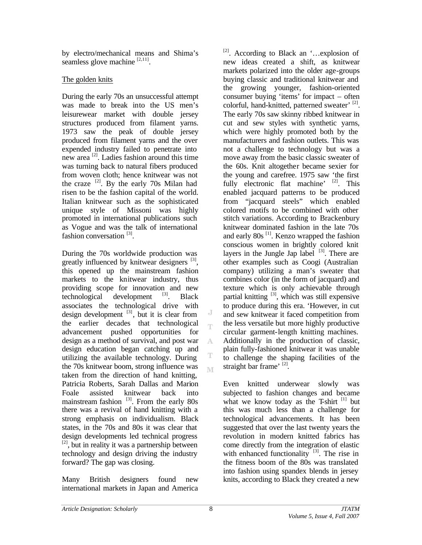by electro/mechanical means and Shima's seamless glove machine  $[2,11]$ .

## The golden knits

During the early 70s an unsuccessful attempt was made to break into the US men's leisurewear market with double jersey structures produced from filament yarns. 1973 saw the peak of double jersey produced from filament yarns and the over expended industry failed to penetrate into new area<sup>[2]</sup>. Ladies fashion around this time was turning back to natural fibers produced from woven cloth; hence knitwear was not the craze  $^{[2]}$ . By the early 70s Milan had risen to be the fashion capital of the world. Italian knitwear such as the sophisticated unique style of Missoni was highly promoted in international publications such as Vogue and was the talk of international fashion conversation<sup>[3]</sup>.

During the 70s worldwide production was greatly influenced by knitwear designers<sup>[3]</sup>, this opened up the mainstream fashion markets to the knitwear industry, thus providing scope for innovation and new technological development  $[3]$ . Black associates the technological drive with design development  $[3]$ , but it is clear from the earlier decades that technological advancement pushed opportunities for design as a method of survival, and post war design education began catching up and utilizing the available technology. During the 70s knitwear boom, strong influence was taken from the direction of hand knitting, Patricia Roberts, Sarah Dallas and Marion Foale assisted knitwear back into mainstream fashion  $^{[3]}$ . From the early 80s there was a revival of hand knitting with a strong emphasis on individualism. Black states, in the 70s and 80s it was clear that design developments led technical progress  $[2]$ , but in reality it was a partnership between technology and design driving the industry forward? The gap was closing.

Many British designers found new international markets in Japan and America

 $[2]$ . According to Black an '...explosion of new ideas created a shift, as knitwear markets polarized into the older age-groups buying classic and traditional knitwear and the growing younger, fashion-oriented consumer buying 'items' for impact – often colorful, hand-knitted, patterned sweater' [2]. The early 70s saw skinny ribbed knitwear in cut and sew styles with synthetic yarns, which were highly promoted both by the manufacturers and fashion outlets. This was not a challenge to technology but was a move away from the basic classic sweater of the 60s. Knit altogether became sexier for the young and carefree. 1975 saw 'the first fully electronic flat machine'  $[2]$ . This enabled jacquard patterns to be produced from "jacquard steels" which enabled colored motifs to be combined with other stitch variations. According to Brackenbury knitwear dominated fashion in the late 70s and early  $80s$ <sup>[1]</sup>. Kenzo wrapped the fashion conscious women in brightly colored knit layers in the Jungle Jap label  $[3]$ . There are other examples such as Coogi (Australian company) utilizing a man's sweater that combines color (in the form of jacquard) and texture which is only achievable through partial knitting  $[3]$ , which was still expensive to produce during this era. 'However, in cut and sew knitwear it faced competition from the less versatile but more highly productive circular garment-length knitting machines. Additionally in the production of classic, plain fully-fashioned knitwear it was unable to challenge the shaping facilities of the straight bar frame'<sup>[2]</sup>.

Even knitted underwear slowly was subjected to fashion changes and became what we know today as the T-shirt  $[1]$  but this was much less than a challenge for technological advancements. It has been suggested that over the last twenty years the revolution in modern knitted fabrics has come directly from the integration of elastic with enhanced functionality  $[3]$ . The rise in the fitness boom of the 80s was translated into fashion using spandex blends in jersey knits, according to Black they created a new

J Ť.

A

M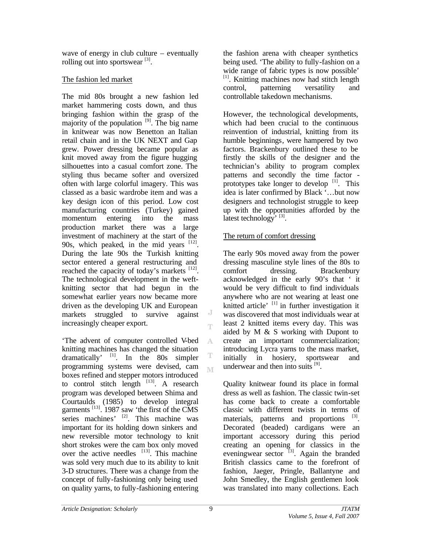wave of energy in club culture – eventually rolling out into sportswear  $^{[3]}$ .

## The fashion led market

The mid 80s brought a new fashion led market hammering costs down, and thus bringing fashion within the grasp of the majority of the population  $[9]$ . The big name in knitwear was now Benetton an Italian retail chain and in the UK NEXT and Gap grew. Power dressing became popular as knit moved away from the figure hugging silhouettes into a casual comfort zone. The styling thus became softer and oversized often with large colorful imagery. This was classed as a basic wardrobe item and was a key design icon of this period. Low cost manufacturing countries (Turkey) gained momentum entering into the mass production market there was a large investment of machinery at the start of the 90s, which peaked, in the mid years  $[12]$ . During the late 90s the Turkish knitting sector entered a general restructuring and reached the capacity of today's markets  $[12]$ . The technological development in the weftknitting sector that had begun in the somewhat earlier years now became more driven as the developing UK and European markets struggled to survive against increasingly cheaper export.

'The advent of computer controlled V-bed A knitting machines has changed the situation dramatically' [1]. In the 80s simpler programming systems were devised, cam M boxes refined and stepper motors introduced to control stitch length  $^{[13]}$ . A research program was developed between Shima and Courtaulds (1985) to develop integral garments  $^{[13]}$ . 1987 saw 'the first of the CMS series machines' <sup>[2]</sup>. This machine was important for its holding down sinkers and new reversible motor technology to knit short strokes were the cam box only moved over the active needles  $[13]$ . This machine was sold very much due to its ability to knit 3-D structures. There was a change from the concept of fully-fashioning only being used on quality yarns, to fully-fashioning entering

the fashion arena with cheaper synthetics being used. 'The ability to fully-fashion on a wide range of fabric types is now possible' [1]. Knitting machines now had stitch length control, patterning versatility and controllable takedown mechanisms.

However, the technological developments, which had been crucial to the continuous reinvention of industrial, knitting from its humble beginnings, were hampered by two factors. Brackenbury outlined these to be firstly the skills of the designer and the technician's ability to program complex patterns and secondly the time factor prototypes take longer to develop  $\left[1\right]$ . This idea is later confirmed by Black '…but now designers and technologist struggle to keep up with the opportunities afforded by the latest technology<sup>, [3]</sup>.

## The return of comfort dressing

The early 90s moved away from the power dressing masculine style lines of the 80s to comfort dressing. Brackenbury acknowledged in the early 90's that ' it would be very difficult to find individuals anywhere who are not wearing at least one knitted article<sup> $\frac{1}{1}$ </sup> in further investigation it was discovered that most individuals wear at least 2 knitted items every day. This was aided by M & S working with Dupont to create an important commercialization; introducing Lycra yarns to the mass market, initially in hosiery, sportswear and underwear and then into suits <sup>[9]</sup>.

Quality knitwear found its place in formal dress as well as fashion. The classic twin-set has come back to create a comfortable classic with different twists in terms of materials, patterns and proportions <sup>[3]</sup>. Decorated (beaded) cardigans were an important accessory during this period creating an opening for classics in the eveningwear sector  $^{[3]}$ . Again the branded British classics came to the forefront of fashion, Jaeger, Pringle, Ballantyne and John Smedley, the English gentlemen look was translated into many collections. Each

J T

T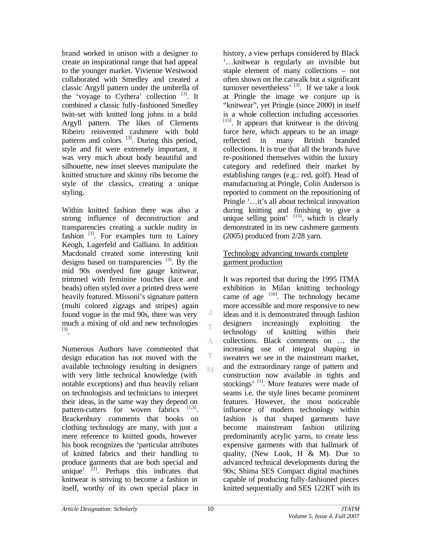brand worked in unison with a designer to create an inspirational range that had appeal to the younger market. Vivienne Westwood collaborated with Smedley and created a classic Argyll pattern under the umbrella of the 'voyage to Cythera' collection  $[3]$ . It combined a classic fully-fashioned Smedley twin-set with knitted long johns in a bold Argyll pattern. The likes of Clements Ribeiro reinvented cashmere with bold patterns and colors  $[3]$ . During this period, style and fit were extremely important, it was very much about body beautiful and silhouette, new inset sleeves manipulate the knitted structure and skinny ribs become the style of the classics, creating a unique styling.

Within knitted fashion there was also a strong influence of deconstruction and transparencies creating a suckle nudity in fashion  $[3]$ . For examples turn to Lainey Keogh, Lagerfeld and Galliano. In addition Macdonald created some interesting knit designs based on transparencies  $[3]$ . By the mid 90s overdyed fine gauge knitwear, trimmed with feminine touches (lace and beads) often styled over a printed dress were heavily featured. Missoni's signature pattern (multi colored zigzags and stripes) again found vogue in the mid 90s, there was very much a mixing of old and new technologies [3] .

Numerous Authors have commented that design education has not moved with the available technology resulting in designers with very little technical knowledge (with notable exceptions) and thus heavily reliant on technologists and technicians to interpret their ideas, in the same way they depend on pattern-cutters for woven fabrics  $[1,3]$ . Brackenbury comments that books on clothing technology are many, with just a mere reference to knitted goods, however his book recognizes the 'particular attributes of knitted fabrics and their handling to produce garments that are both special and unique<sup> $\left[1\right]$ </sup>. Perhaps this indicates that knitwear is striving to become a fashion in itself, worthy of its own special place in

history, a view perhaps considered by Black '…knitwear is regularly an invisible but staple element of many collections – not often shown on the catwalk but a significant turnover nevertheless'  $^{[3]}$ . If we take a look at Pringle the image we conjure up is "knitwear", yet Pringle (since 2000) in itself is a whole collection including accessories  $[15]$ . It appears that knitwear is the driving force here, which appears to be an image reflected in many British branded collections. It is true that all the brands have re-positioned themselves within the luxury category and redefined their market by establishing ranges (e.g.: red, golf). Head of manufacturing at Pringle, Colin Anderson is reported to comment on the repositioning of Pringle '…it's all about technical innovation during knitting and finishing to give a unique selling point'  $[15]$ , which is clearly demonstrated in its new cashmere garments (2005) produced from 2/28 yarn.

## Technology advancing towards complete garment production

It was reported that during the 1995 ITMA exhibition in Milan knitting technology came of age  $[16]$ . The technology became more accessible and more responsive to new ideas and it is demonstrated through fashion designers increasingly exploiting the technology of knitting within their collections. Black comments on … the increasing use of integral shaping in sweaters we see in the mainstream market, and the extraordinary range of pattern and construction now available in tights and stockings' <sup>[3]</sup>. More features were made of seams i.e. the style lines became prominent features. However, the most noticeable influence of modern technology within fashion is that shaped garments have become mainstream fashion utilizing predominantly acrylic yarns, to create less expensive garments with that hallmark of quality, (New Look, H  $&$  M). Due to advanced technical developments during the 90s; Shima SES Compact digital machines capable of producing fully-fashioned pieces knitted sequentially and SES 122RT with its

J Ť

A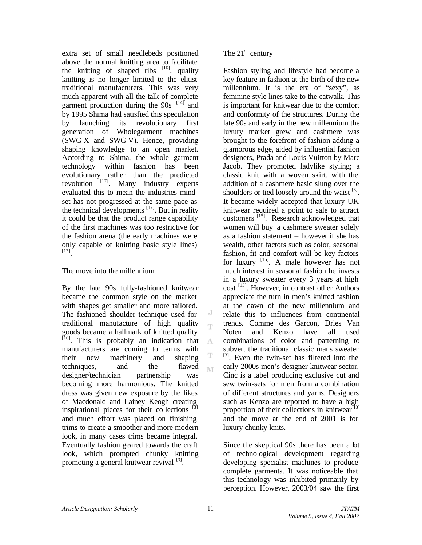extra set of small needlebeds positioned above the normal knitting area to facilitate the knitting of shaped ribs  $[16]$ , quality knitting is no longer limited to the elitist traditional manufacturers. This was very much apparent with all the talk of complete garment production during the  $90s$ <sup>[14]</sup> and by 1995 Shima had satisfied this speculation by launching its revolutionary first generation of Wholegarment machines (SWG-X and SWG-V). Hence, providing shaping knowledge to an open market. According to Shima, the whole garment technology within fashion has been evolutionary rather than the predicted revolution  $\left[17\right]$ . Many industry experts evaluated this to mean the industries mindset has not progressed at the same pace as the technical developments  $[17]$ . But in reality it could be that the product range capability of the first machines was too restrictive for the fashion arena (the early machines were only capable of knitting basic style lines) [17] .

### The move into the millennium

By the late 90s fully-fashioned knitwear became the common style on the market with shapes get smaller and more tailored. The fashioned shoulder technique used for traditional manufacture of high quality goods became a hallmark of knitted quality <sup>[16]</sup>. This is probably an indication that manufacturers are coming to terms with their new machinery and shaping techniques, and the flawed designer/technician partnership was becoming more harmonious. The knitted dress was given new exposure by the likes of Macdonald and Lainey Keogh creating inspirational pieces for their collections <sup>[3]</sup> and much effort was placed on finishing trims to create a smoother and more modern look, in many cases trims became integral. Eventually fashion geared towards the craft look, which prompted chunky knitting promoting a general knitwear revival [3].

## The  $21<sup>st</sup>$  century

Fashion styling and lifestyle had become a key feature in fashion at the birth of the new millennium. It is the era of "sexy", as feminine style lines take to the catwalk. This is important for knitwear due to the comfort and conformity of the structures. During the late 90s and early in the new millennium the luxury market grew and cashmere was brought to the forefront of fashion adding a glamorous edge, aided by influential fashion designers, Prada and Louis Vuitton by Marc Jacob. They promoted ladylike styling; a classic knit with a woven skirt, with the addition of a cashmere basic slung over the shoulders or tied loosely around the waist  $^{[3]}$ . It became widely accepted that luxury UK knitwear required a point to sale to attract customers [15]. Research acknowledged that women will buy a cashmere sweater solely as a fashion statement – however if she has wealth, other factors such as color, seasonal fashion, fit and comfort will be key factors for luxury <sup>[15]</sup>. A male however has not much interest in seasonal fashion he invests in a luxury sweater every 3 years at high cost [15]. However, in contrast other Authors appreciate the turn in men's knitted fashion at the dawn of the new millennium and relate this to influences from continental trends. Comme des Garcon, Dries Van Noten and Kenzo have all used combinations of color and patterning to subvert the traditional classic mans sweater <sup>[3]</sup>. Even the twin-set has filtered into the early 2000s men's designer knitwear sector. Cinc is a label producing exclusive cut and sew twin-sets for men from a combination of different structures and yarns. Designers such as Kenzo are reported to have a high proportion of their collections in knitwear $^{[3]}$ and the move at the end of 2001 is for luxury chunky knits.

Since the skeptical 90s there has been a lot of technological development regarding developing specialist machines to produce complete garments. It was noticeable that this technology was inhibited primarily by perception. However, 2003/04 saw the first

J Ť

A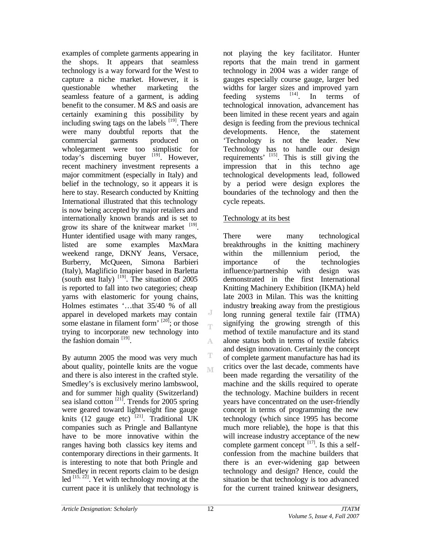examples of complete garments appearing in the shops. It appears that seamless technology is a way forward for the West to capture a niche market. However, it is questionable whether marketing the seamless feature of a garment, is adding benefit to the consumer. M &S and oasis are certainly examining this possibility by including swing tags on the labels  $[19]$ . There were many doubtful reports that the commercial garments produced on wholegarment were too simplistic for today's discerning buyer  $[19]$ . However, recent machinery investment represents a major commitment (especially in Italy) and belief in the technology, so it appears it is here to stay. Research conducted by Knitting International illustrated that this technology is now being accepted by major retailers and internationally known brands and is set to grow its share of the knitwear market  $[19]$ . Hunter identified usage with many ranges, listed are some examples MaxMara weekend range, DKNY Jeans, Versace, Burberry, McQueen, Simona Barbieri (Italy), Maglificio Imapier based in Barletta (south east Italy)  $^{[19]}$ . The situation of 2005 is reported to fall into two categories; cheap yarns with elastomeric for young chains, Holmes estimates '…that 35/40 % of all apparel in developed markets may contain some elastane in filament form'  $[20]$ ; or those trying to incorporate new technology into the fashion domain  $^{[19]}$ .

By autumn 2005 the mood was very much about quality, pointelle knits are the vogue and there is also interest in the crafted style. Smedley's is exclusively merino lambswool, and for summer high quality (Switzerland) sea island cotton  $^{[21]}$ . Trends for 2005 spring were geared toward lightweight fine gauge knits  $(12 \text{ gauge etc})$ <sup>[21]</sup>. Traditional UK companies such as Pringle and Ballantyne have to be more innovative within the ranges having both classics key items and contemporary directions in their garments. It is interesting to note that both Pringle and Smedley in recent reports claim to be design led <sup>[15, 22]</sup>. Yet with technology moving at the current pace it is unlikely that technology is

not playing the key facilitator. Hunter reports that the main trend in garment technology in 2004 was a wider range of gauges especially course gauge, larger bed widths for larger sizes and improved yarn feeding systems  $[14]$ . In terms of technological innovation, advancement has been limited in these recent years and again design is feeding from the previous technical developments. Hence, the statement 'Technology is not the leader. New Technology has to handle our design requirements' <sup>[15]</sup>. This is still giving the impression that in this techno age technological developments lead, followed by a period were design explores the boundaries of the technology and then the cycle repeats.

### Technology at its best

There were many technological breakthroughs in the knitting machinery within the millennium period, the importance of the technologies influence/partnership with design was demonstrated in the first International Knitting Machinery Exhibition (IKMA) held late 2003 in Milan. This was the knitting industry breaking away from the prestigious long running general textile fair (ITMA) signifying the growing strength of this method of textile manufacture and its stand alone status both in terms of textile fabrics and design innovation. Certainly the concept of complete garment manufacture has had its critics over the last decade, comments have been made regarding the versatility of the machine and the skills required to operate the technology. Machine builders in recent years have concentrated on the user-friendly concept in terms of programming the new technology (which since 1995 has become much more reliable), the hope is that this will increase industry acceptance of the new complete garment concept  $[17]$ . Is this a selfconfession from the machine builders that there is an ever-widening gap between technology and design? Hence, could the situation be that technology is too advanced for the current trained knitwear designers,

J Ť

A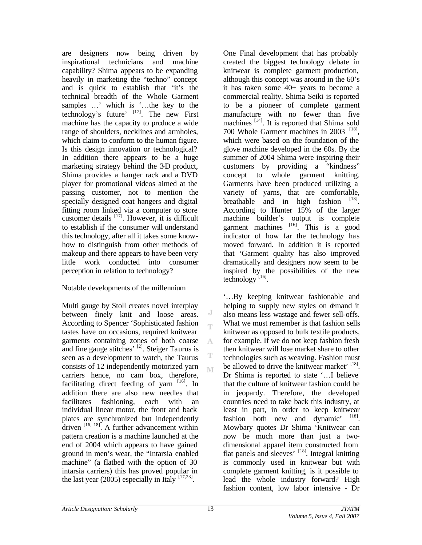are designers now being driven by inspirational technicians and machine capability? Shima appears to be expanding heavily in marketing the "techno" concept and is quick to establish that 'it's the technical breadth of the Whole Garment samples ...' which is '...the key to the technology's future'  $^{[17]}$ . The new First machine has the capacity to produce a wide range of shoulders, necklines and armholes, which claim to conform to the human figure. Is this design innovation or technological? In addition there appears to be a huge marketing strategy behind the 3D product, Shima provides a hanger rack and a DVD player for promotional videos aimed at the passing customer, not to mention the specially designed coat hangers and digital fitting room linked via a computer to store customer details  $\begin{bmatrix} 17 \end{bmatrix}$ . However, it is difficult to establish if the consumer will understand this technology, after all it takes some knowhow to distinguish from other methods of makeup and there appears to have been very little work conducted into consumer perception in relation to technology?

### Notable developments of the millennium

Multi gauge by Stoll creates novel interplay between finely knit and loose areas. According to Spencer 'Sophisticated fashion tastes have on occasions, required knitwear garments containing zones of both coarse and fine gauge stitches' [2]. Steiger Taurus is seen as a development to watch, the Taurus consists of 12 independently motorized yarn carriers hence, no cam box, therefore, facilitating direct feeding of yarn  $[16]$ . In addition there are also new needles that facilitates fashioning, each with an individual linear motor, the front and back plates are synchronized but independently driven  $^{[16, 18]}$ . A further advancement within pattern creation is a machine launched at the end of 2004 which appears to have gained ground in men's wear, the "Intarsia enabled machine" (a flatbed with the option of 30 intarsia carriers) this has proved popular in the last year (2005) especially in Italy  $^{[17,23]}$ .

One Final development that has probably created the biggest technology debate in knitwear is complete garment production, although this concept was around in the 60's it has taken some 40+ years to become a commercial reality. Shima Seiki is reported to be a pioneer of complete garment manufacture with no fewer than five machines  $[14]$ . It is reported that Shima sold 700 Whole Garment machines in 2003<sup>[18]</sup>, which were based on the foundation of the glove machine developed in the 60s. By the summer of 2004 Shima were inspiring their customers by providing a "kindness" concept to whole garment knitting. Garments have been produced utilizing a variety of yarns, that are comfortable, breathable and in high fashion  $[18]$ . According to Hunter 15% of the larger machine builder's output is complete garment machines  $[16]$ . This is a good indicator of how far the technology has moved forward. In addition it is reported that 'Garment quality has also improved dramatically and designers now seem to be inspired by the possibilities of the new  $\text{technology}^{\left[16\right]}$ .

'…By keeping knitwear fashionable and helping to supply new styles on demand it also means less wastage and fewer sell-offs. What we must remember is that fashion sells knitwear as opposed to bulk textile products, for example. If we do not keep fashion fresh then knitwear will lose market share to other technologies such as weaving. Fashion must be allowed to drive the knitwear market' [18]. Dr Shima is reported to state '…I believe that the culture of knitwear fashion could be in jeopardy. Therefore, the developed countries need to take back this industry, at least in part, in order to keep knitwear fashion both new and dynamic' [18]. Mowbary quotes Dr Shima 'Knitwear can now be much more than just a twodimensional apparel item constructed from flat panels and sleeves'  $^{[18]}$ . Integral knitting is commonly used in knitwear but with complete garment knitting, is it possible to lead the whole industry forward? High fashion content, low labor intensive - Dr

J Ť

A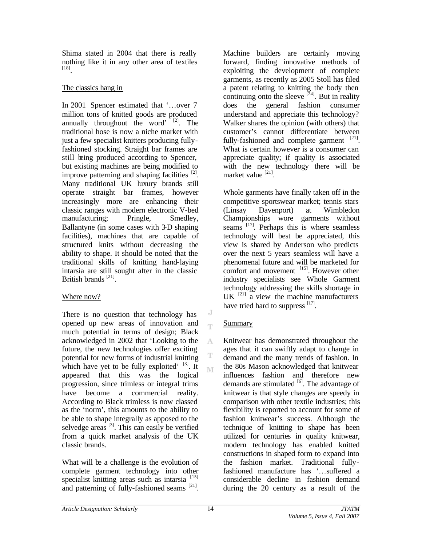Shima stated in 2004 that there is really nothing like it in any other area of textiles [18] .

### The classics hang in

In 2001 Spencer estimated that '…over 7 million tons of knitted goods are produced annually throughout the word'  $[2]$ . The traditional hose is now a niche market with just a few specialist knitters producing fullyfashioned stocking. Straight bar frames are still being produced according to Spencer, but existing machines are being modified to improve patterning and shaping facilities  $[2]$ . Many traditional UK luxury brands still operate straight bar frames, however increasingly more are enhancing their classic ranges with modern electronic V-bed manufacturing; Pringle, Smedley, Ballantyne (in some cases with 3-D shaping facilities), machines that are capable of structured knits without decreasing the ability to shape. It should be noted that the traditional skills of knitting hand-laying intarsia are still sought after in the classic British brands<sup>[21]</sup>.

## Where now?

There is no question that technology has opened up new areas of innovation and much potential in terms of design; Black acknowledged in 2002 that 'Looking to the future, the new technologies offer exciting potential for new forms of industrial knitting which have yet to be fully exploited'  $[3]$ . It appeared that this was the logical progression, since trimless or integral trims have become a commercial reality. According to Black trimless is now classed as the 'norm', this amounts to the ability to be able to shape integrally as apposed to the selvedge areas  $[3]$ . This can easily be verified from a quick market analysis of the UK classic brands.

What will be a challenge is the evolution of complete garment technology into other specialist knitting areas such as intarsia<sup>[15]</sup> and patterning of fully-fashioned seams  $[21]$ .

Machine builders are certainly moving forward, finding innovative methods of exploiting the development of complete garments, as recently as 2005 Stoll has filed a patent relating to knitting the body then continuing onto the sleeve  $[24]$ . But in reality does the general fashion consumer understand and appreciate this technology? Walker shares the opinion (with others) that customer's cannot differentiate between fully-fashioned and complete garment  $[21]$ . What is certain however is a consumer can appreciate quality; if quality is associated with the new technology there will be market value [21].

Whole garments have finally taken off in the competitive sportswear market; tennis stars (Linsay Davenport) at Wimbledon Championships wore garments without seams <sup>[17]</sup>. Perhaps this is where seamless technology will best be appreciated, this view is shared by Anderson who predicts over the next 5 years seamless will have a phenomenal future and will be marketed for comfort and movement <sup>[15]</sup>. However other industry specialists see Whole Garment technology addressing the skills shortage in UK  $^{[21]}$  a view the machine manufacturers have tried hard to suppress  $[17]$ .

# Summary

J Ť

A

T M Knitwear has demonstrated throughout the ages that it can swiftly adapt to change in demand and the many trends of fashion. In the 80s Mason acknowledged that knitwear influences fashion and therefore new demands are stimulated  $[6]$ . The advantage of knitwear is that style changes are speedy in comparison with other textile industries; this flexibility is reported to account for some of fashion knitwear's success. Although the technique of knitting to shape has been utilized for centuries in quality knitwear, modern technology has enabled knitted constructions in shaped form to expand into the fashion market. Traditional fullyfashioned manufacture has '…suffered a considerable decline in fashion demand during the 20 century as a result of the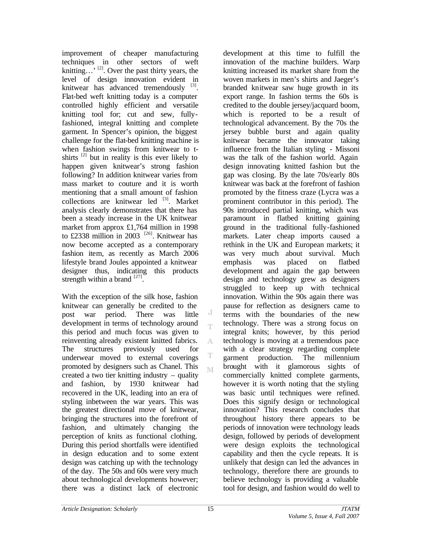improvement of cheaper manufacturing techniques in other sectors of weft knitting...,  $^{[2]}$ . Over the past thirty years, the level of design innovation evident in knitwear has advanced tremendously  $[3]$ . Flat-bed weft knitting today is a computer controlled highly efficient and versatile knitting tool for; cut and sew, fullyfashioned, integral knitting and complete garment. In Spencer's opinion, the biggest challenge for the flat-bed knitting machine is when fashion swings from knitwear to tshirts  $^{[2]}$  but in reality is this ever likely to happen given knitwear's strong fashion following? In addition knitwear varies from mass market to couture and it is worth mentioning that a small amount of fashion collections are knitwear led  $[3]$ . Market analysis clearly demonstrates that there has been a steady increase in the UK knitwear market from approx £1,764 million in 1998 to £2338 million in 2003 <sup>[26]</sup>. Knitwear has now become accepted as a contemporary fashion item, as recently as March 2006 lifestyle brand Joules appointed a knitwear designer thus, indicating this products strength within a brand  $^{[27]}$ .

With the exception of the silk hose, fashion knitwear can generally be credited to the post war period. There was little development in terms of technology around this period and much focus was given to reinventing already existent knitted fabrics. A The structures previously used for underwear moved to external coverings promoted by designers such as Chanel. This M created a two tier knitting industry – quality and fashion, by 1930 knitwear had recovered in the UK, leading into an era of styling inbetween the war years. This was the greatest directional move of knitwear, bringing the structures into the forefront of fashion, and ultimately changing the perception of knits as functional clothing. During this period shortfalls were identified in design education and to some extent design was catching up with the technology of the day. The 50s and 60s were very much about technological developments however; there was a distinct lack of electronic

development at this time to fulfill the innovation of the machine builders. Warp knitting increased its market share from the woven markets in men's shirts and Jaeger's branded knitwear saw huge growth in its export range. In fashion terms the 60s is credited to the double jersey/jacquard boom, which is reported to be a result of technological advancement. By the 70s the jersey bubble burst and again quality knitwear became the innovator taking influence from the Italian styling - Missoni was the talk of the fashion world. Again design innovating knitted fashion but the gap was closing. By the late 70s/early 80s knitwear was back at the forefront of fashion promoted by the fitness craze (Lycra was a prominent contributor in this period). The 90s introduced partial knitting, which was paramount in flatbed knitting gaining ground in the traditional fully-fashioned markets. Later cheap imports caused a rethink in the UK and European markets; it was very much about survival. Much emphasis was placed on flatbed development and again the gap between design and technology grew as designers struggled to keep up with technical innovation. Within the 90s again there was pause for reflection as designers came to terms with the boundaries of the new technology. There was a strong focus on integral knits; however, by this period technology is moving at a tremendous pace with a clear strategy regarding complete garment production. The millennium brought with it glamorous sights of commercially knitted complete garments, however it is worth noting that the styling was basic until techniques were refined. Does this signify design or technological innovation? This research concludes that throughout history there appears to be periods of innovation were technology leads design, followed by periods of development were design exploits the technological capability and then the cycle repeats. It is unlikely that design can led the advances in technology, therefore there are grounds to believe technology is providing a valuable tool for design, and fashion would do well to

J T

T